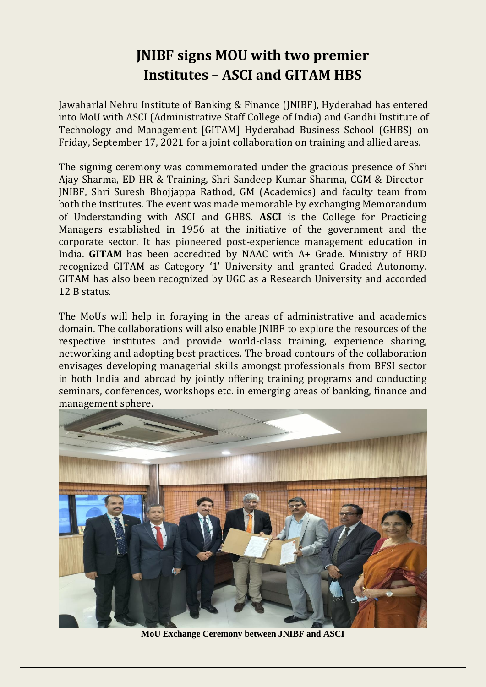## **JNIBF signs MOU with two premier Institutes – ASCI and GITAM HBS**

Jawaharlal Nehru Institute of Banking & Finance (JNIBF), Hyderabad has entered into MoU with ASCI (Administrative Staff College of India) and Gandhi Institute of Technology and Management [GITAM] Hyderabad Business School (GHBS) on Friday, September 17, 2021 for a joint collaboration on training and allied areas.

The signing ceremony was commemorated under the gracious presence of Shri Ajay Sharma, ED-HR & Training, Shri Sandeep Kumar Sharma, CGM & Director-JNIBF, Shri Suresh Bhojjappa Rathod, GM (Academics) and faculty team from both the institutes. The event was made memorable by exchanging Memorandum of Understanding with ASCI and GHBS. **ASCI** is the College for Practicing Managers established in 1956 at the initiative of the government and the corporate sector. It has pioneered post-experience management education in India. **GITAM** has been accredited by NAAC with A+ Grade. Ministry of HRD recognized GITAM as Category '1' University and granted Graded Autonomy. GITAM has also been recognized by UGC as a Research University and accorded 12 B status.

The MoUs will help in foraying in the areas of administrative and academics domain. The collaborations will also enable JNIBF to explore the resources of the respective institutes and provide world-class training, experience sharing, networking and adopting best practices. The broad contours of the collaboration envisages developing managerial skills amongst professionals from BFSI sector in both India and abroad by jointly offering training programs and conducting seminars, conferences, workshops etc. in emerging areas of banking, finance and management sphere.



**MoU Exchange Ceremony between JNIBF and ASCI**